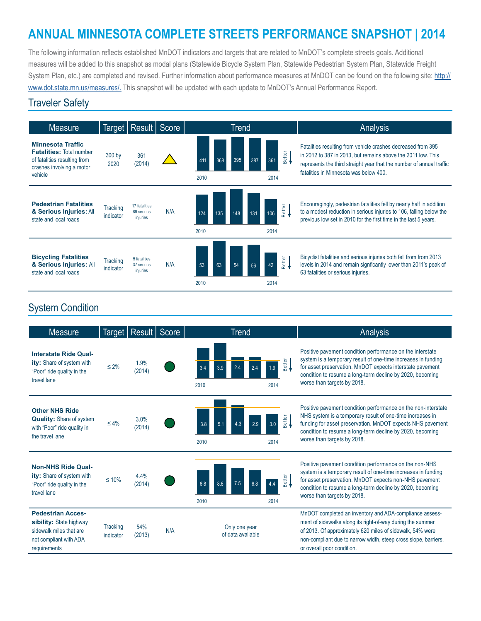# **ANNUAL MINNESOTA COMPLETE STREETS PERFORMANCE SNAPSHOT | 2014**

The following information reflects established MnDOT indicators and targets that are related to MnDOT's complete streets goals. Additional measures will be added to this snapshot as modal plans (Statewide Bicycle System Plan, Statewide Pedestrian System Plan, Statewide Freight System Plan, etc.) are completed and revised. Further information about performance measures at MnDOT can be found on the following site: [http://](http://www.dot.state.mn.us/measures/) [www.dot.state.mn.us/measures/](http://www.dot.state.mn.us/measures/). This snapshot will be updated with each update to MnDOT's Annual Performance Report.

#### Traveler Safety



### System Condition

| <b>Measure</b>                                                                                                           |                              | Target   Result | Score | Trend                              |                                       | Analysis                                                                                                                                                                                                                                                                             |
|--------------------------------------------------------------------------------------------------------------------------|------------------------------|-----------------|-------|------------------------------------|---------------------------------------|--------------------------------------------------------------------------------------------------------------------------------------------------------------------------------------------------------------------------------------------------------------------------------------|
| <b>Interstate Ride Qual-</b><br>ity: Share of system with<br>"Poor" ride quality in the<br>travel lane                   | $\leq 2\%$                   | 1.9%<br>(2014)  |       | 3.4<br>2.4<br>3.9<br>2010          | Better<br><del>•</del><br>.9<br>2014  | Positive payement condition performance on the interstate<br>system is a temporary result of one-time increases in funding<br>for asset preservation. MnDOT expects interstate pavement<br>condition to resume a long-term decline by 2020, becoming<br>worse than targets by 2018.  |
| <b>Other NHS Ride</b><br><b>Quality: Share of system</b><br>with "Poor" ride quality in<br>the travel lane               | $\leq 4\%$                   | 3.0%<br>(2014)  |       | 3.8<br>5.1<br>2.9<br>2010          | Better<br><del>•</del><br>3.0<br>2014 | Positive pavement condition performance on the non-interstate<br>NHS system is a temporary result of one-time increases in<br>funding for asset preservation. MnDOT expects NHS pavement<br>condition to resume a long-term decline by 2020, becoming<br>worse than targets by 2018. |
| <b>Non-NHS Ride Qual-</b><br>ity: Share of system with<br>"Poor" ride quality in the<br>travel lane                      | $\leq 10\%$                  | 4.4%<br>(2014)  |       | 6.8<br>8.6<br>7.5<br>2010          | Better<br><del>C</del><br>2014        | Positive payement condition performance on the non-NHS<br>system is a temporary result of one-time increases in funding<br>for asset preservation. MnDOT expects non-NHS pavement<br>condition to resume a long-term decline by 2020, becoming<br>worse than targets by 2018.        |
| <b>Pedestrian Acces-</b><br>sibility: State highway<br>sidewalk miles that are<br>not compliant with ADA<br>requirements | <b>Tracking</b><br>indicator | 54%<br>(2013)   | N/A   | Only one year<br>of data available |                                       | MnDOT completed an inventory and ADA-compliance assess-<br>ment of sidewalks along its right-of-way during the summer<br>of 2013. Of approximately 620 miles of sidewalk, 54% were<br>non-compliant due to narrow width, steep cross slope, barriers,<br>or overall poor condition.  |